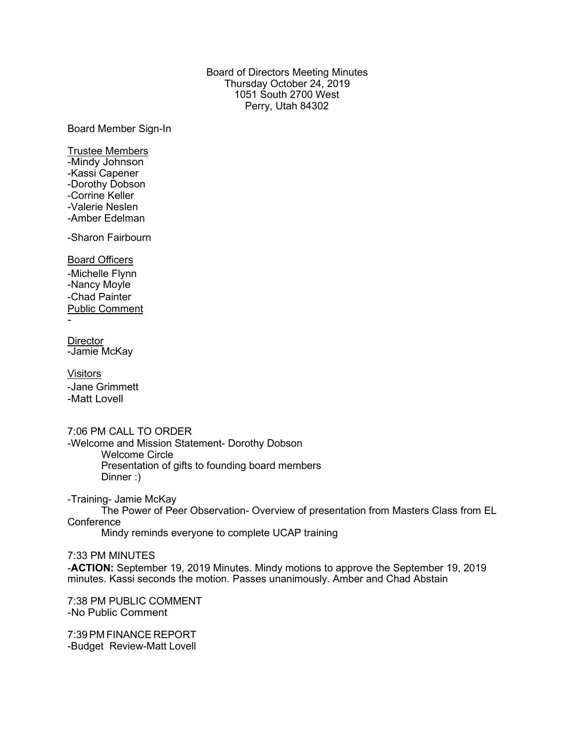# Board of Directors Meeting Minutes Thursday October 24, 2019 1051 South 2700 West Perry, Utah 84302

Board Member Sign-In

Trustee Members -Mindy Johnson -Kassi Capener -Dorothy Dobson -Corrine Keller -Valerie Neslen -Amber Edelman

-Sharon Fairbourn

Board Officers -Michelle Flynn -Nancy Moyle -Chad Painter Public Comment

-

**Director** -Jamie McKay

Visitors -Jane Grimmett -Matt Lovell

7:06 PM CALL TO ORDER -Welcome and Mission Statement- Dorothy Dobson Welcome Circle Presentation of gifts to founding board members Dinner :)

-Training- Jamie McKay The Power of Peer Observation- Overview of presentation from Masters Class from EL **Conference** 

Mindy reminds everyone to complete UCAP training

7:33 PM MINUTES -**ACTION:** September 19, 2019 Minutes. Mindy motions to approve the September 19, 2019 minutes. Kassi seconds the motion. Passes unanimously. Amber and Chad Abstain

7:38 PM PUBLIC COMMENT -No Public Comment

7:39PM FINANCE REPORT -Budget Review-Matt Lovell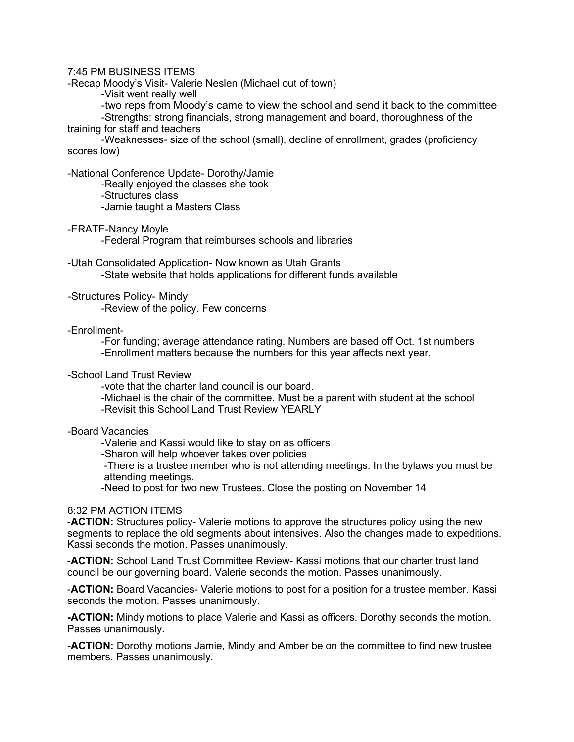# 7:45 PM BUSINESS ITEMS

-Recap Moody's Visit- Valerie Neslen (Michael out of town)

-Visit went really well

-two reps from Moody's came to view the school and send it back to the committee

-Strengths: strong financials, strong management and board, thoroughness of the training for staff and teachers

-Weaknesses- size of the school (small), decline of enrollment, grades (proficiency scores low)

-National Conference Update- Dorothy/Jamie

-Really enjoyed the classes she took

-Structures class

-Jamie taught a Masters Class

-ERATE-Nancy Moyle

-Federal Program that reimburses schools and libraries

-Utah Consolidated Application- Now known as Utah Grants -State website that holds applications for different funds available

-Structures Policy- Mindy

-Review of the policy. Few concerns

-Enrollment-

-For funding; average attendance rating. Numbers are based off Oct. 1st numbers -Enrollment matters because the numbers for this year affects next year.

### -School Land Trust Review

-vote that the charter land council is our board.

-Michael is the chair of the committee. Must be a parent with student at the school -Revisit this School Land Trust Review YEARLY

#### -Board Vacancies

-Valerie and Kassi would like to stay on as officers

-Sharon will help whoever takes over policies

-There is a trustee member who is not attending meetings. In the bylaws you must be attending meetings.

-Need to post for two new Trustees. Close the posting on November 14

### 8:32 PM ACTION ITEMS

-**ACTION:** Structures policy- Valerie motions to approve the structures policy using the new segments to replace the old segments about intensives. Also the changes made to expeditions. Kassi seconds the motion. Passes unanimously.

-**ACTION:** School Land Trust Committee Review- Kassi motions that our charter trust land council be our governing board. Valerie seconds the motion. Passes unanimously.

-**ACTION:** Board Vacancies- Valerie motions to post for a position for a trustee member. Kassi seconds the motion. Passes unanimously.

**-ACTION:** Mindy motions to place Valerie and Kassi as officers. Dorothy seconds the motion. Passes unanimously.

**-ACTION:** Dorothy motions Jamie, Mindy and Amber be on the committee to find new trustee members. Passes unanimously.